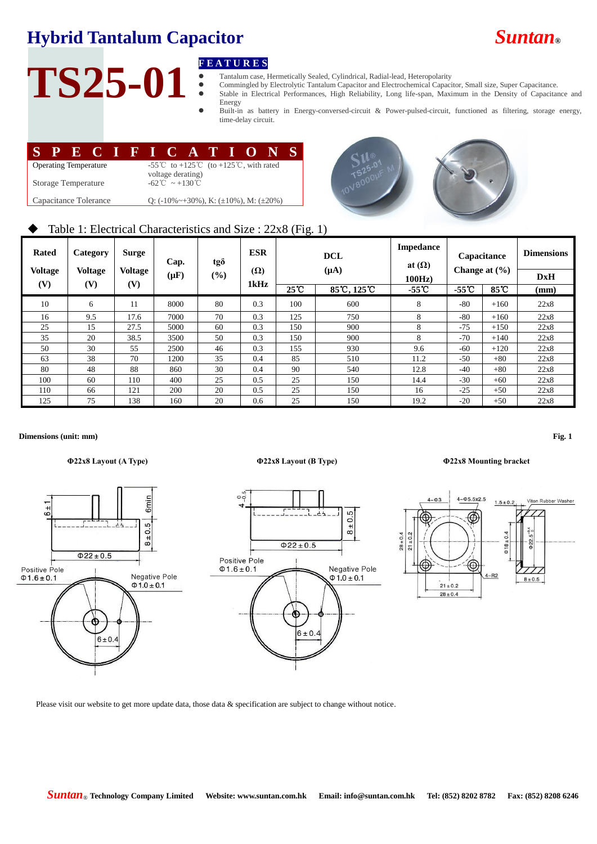## **Hybrid Tantalum Capacitor** *Suntan***®**

# TS25-01 **FEATURES**<br> **FEATURES**<br> **FEATURES**<br> **FEATURES**<br> **FEATURES**<br> **FEATURES**<br> **FEATURES**

- Tantalum case, Hermetically Sealed, Cylindrical, Radial-lead, Heteropolarity
- Commingled by Electrolytic Tantalum Capacitor and Electrochemical Capacitor, Small size, Super Capacitance. Stable in Electrical Performances, High Reliability, Long life-span, Maximum in the Density of Capacitance and
	- Energy Built-in as battery in Energy-conversed-circuit & Power-pulsed-circuit, functioned as filtering, storage energy, time-delay circuit.

|                                                                                      | SPECIFICATIONS                                                                |  |  |  |  |  |  |  |  |  |
|--------------------------------------------------------------------------------------|-------------------------------------------------------------------------------|--|--|--|--|--|--|--|--|--|
| <b>Operating Temperature</b>                                                         | -55 <sup>°</sup> C to +125 <sup>°</sup> C (to +125 <sup>°</sup> C, with rated |  |  |  |  |  |  |  |  |  |
| Storage Temperature                                                                  | voltage derating)<br>$-62^{\circ}$ C ~ +130 °C                                |  |  |  |  |  |  |  |  |  |
| Capacitance Tolerance<br>Q: $(-10\% \sim +30\%)$ , K: $(\pm 10\%)$ , M: $(\pm 20\%)$ |                                                                               |  |  |  |  |  |  |  |  |  |



## Table 1: Electrical Characteristics and Size : 22x8 (Fig. 1)

| <b>Rated</b><br><b>Voltage</b> | Category<br><b>Voltage</b> | Surge<br><b>Voltage</b> | Cap.<br>$(\mu \mathbf{F})$ | tgð<br>$(\%)$ | <b>ESR</b><br>$(\Omega)$ |                                | <b>DCL</b><br>$(\mu A)$ | <b>Impedance</b><br>at $(\Omega)$<br>100Hz | Capacitance<br>Change at $(\frac{6}{6})$ |        | <b>Dimensions</b><br><b>DxH</b> |
|--------------------------------|----------------------------|-------------------------|----------------------------|---------------|--------------------------|--------------------------------|-------------------------|--------------------------------------------|------------------------------------------|--------|---------------------------------|
| (V)                            | (V)<br>(V)                 |                         |                            | 1kHz          | $25^{\circ}$ C           | $85\degree$ C, 125 $\degree$ C | $-55^{\circ}$ C         | $-55^{\circ}$                              | $85^{\circ}$ C                           | (mm)   |                                 |
| 10                             | 6                          | 11                      | 8000                       | 80            | 0.3                      | 100                            | 600                     | 8                                          | $-80$                                    | $+160$ | 22x8                            |
| 16                             | 9.5                        | 17.6                    | 7000                       | 70            | 0.3                      | 125                            | 750                     | 8                                          | $-80$                                    | $+160$ | 22x8                            |
| 25                             | 15                         | 27.5                    | 5000                       | 60            | 0.3                      | 150                            | 900                     | 8                                          | $-75$                                    | $+150$ | 22x8                            |
| 35                             | 20                         | 38.5                    | 3500                       | 50            | 0.3                      | 150                            | 900                     | 8                                          | $-70$                                    | $+140$ | 22x8                            |
| 50                             | 30                         | 55                      | 2500                       | 46            | 0.3                      | 155                            | 930                     | 9.6                                        | $-60$                                    | $+120$ | 22x8                            |
| 63                             | 38                         | 70                      | 1200                       | 35            | 0.4                      | 85                             | 510                     | 11.2                                       | $-50$                                    | $+80$  | 22x8                            |
| 80                             | 48                         | 88                      | 860                        | 30            | 0.4                      | 90                             | 540                     | 12.8                                       | $-40$                                    | $+80$  | 22x8                            |
| 100                            | 60                         | 110                     | 400                        | 25            | 0.5                      | 25                             | 150                     | 14.4                                       | $-30$                                    | $+60$  | 22x8                            |
| 110                            | 66                         | 121                     | 200                        | 20            | 0.5                      | 25                             | 150                     | 16                                         | $-25$                                    | $+50$  | 22x8                            |
| 125                            | 75                         | 138                     | 160                        | 20            | 0.6                      | 25                             | 150                     | 19.2                                       | $-20$                                    | $+50$  | 22x8                            |

### **Dimensions (unit: mm) Fig. 1**





### **Φ22x8 Layout (A Type) Φ22x8 Layout (B Type) Φ22x8 Mounting bracket**



Please visit our website to get more update data, those data & specification are subject to change without notice.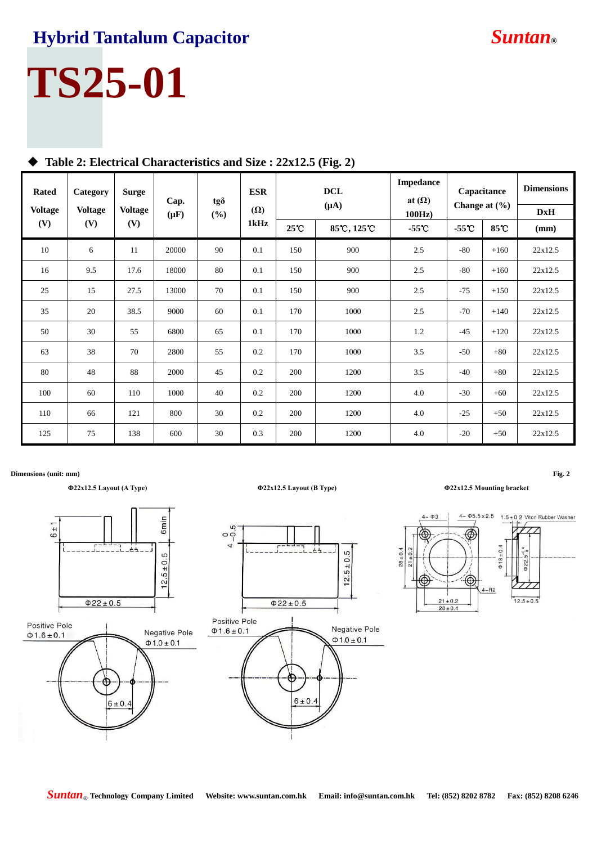## **Hybrid Tantalum Capacitor** *Suntan***®**

# **TS25-01**

| <b>Rated</b><br><b>Voltage</b> | Category<br><b>Voltage</b> | <b>Surge</b><br><b>Voltage</b> | Cap.<br>$(\mu F)$ | $tg\delta$ | <b>ESR</b><br>$(\Omega)$<br>1kHz | <b>DCL</b><br>$(\mu A)$ |             | Impedance<br>at $(\Omega)$ | Capacitance<br>Change at $(\% )$ |        | <b>Dimensions</b><br><b>DxH</b> |
|--------------------------------|----------------------------|--------------------------------|-------------------|------------|----------------------------------|-------------------------|-------------|----------------------------|----------------------------------|--------|---------------------------------|
| (V)                            | (V)                        | (V)                            |                   | (%)        |                                  | 25°C                    | 85°C, 125°C | 100Hz<br>$-55^{\circ}$ C   | $-55^{\circ}$ C                  | 85℃    | (mm)                            |
| 10                             | 6                          | 11                             | 20000             | 90         | 0.1                              | 150                     | 900         | 2.5                        | $-80$                            | $+160$ | 22x12.5                         |
| 16                             | 9.5                        | 17.6                           | 18000             | 80         | 0.1                              | 150                     | 900         | 2.5                        | $-80$                            | $+160$ | 22x12.5                         |
| 25                             | 15                         | 27.5                           | 13000             | 70         | 0.1                              | 150                     | 900         | 2.5                        | $-75$                            | $+150$ | 22x12.5                         |
| 35                             | 20                         | 38.5                           | 9000              | 60         | 0.1                              | 170                     | 1000        | 2.5                        | $-70$                            | $+140$ | 22x12.5                         |
| 50                             | 30                         | 55                             | 6800              | 65         | 0.1                              | 170                     | 1000        | 1.2                        | $-45$                            | $+120$ | 22x12.5                         |
| 63                             | 38                         | 70                             | 2800              | 55         | 0.2                              | 170                     | 1000        | 3.5                        | $-50$                            | $+80$  | 22x12.5                         |
| 80                             | 48                         | 88                             | 2000              | 45         | 0.2                              | 200                     | 1200        | 3.5                        | $-40$                            | $+80$  | 22x12.5                         |
| 100                            | 60                         | 110                            | 1000              | 40         | 0.2                              | 200                     | 1200        | 4.0                        | $-30$                            | $+60$  | 22x12.5                         |
| 110                            | 66                         | 121                            | 800               | 30         | 0.2                              | 200                     | 1200        | 4.0                        | $-25$                            | $+50$  | 22x12.5                         |
| 125                            | 75                         | 138                            | 600               | 30         | 0.3                              | 200                     | 1200        | 4.0                        | $-20$                            | $+50$  | 22x12.5                         |

## **Table 2: Electrical Characteristics and Size : 22x12.5 (Fig. 2)**

**Dimensions (unit: mm) Fig. 2**

## **Φ22x12.5 Layout (A Type) Φ22x12.5 Layout (B Type) Φ22x12.5 Mounting bracket**